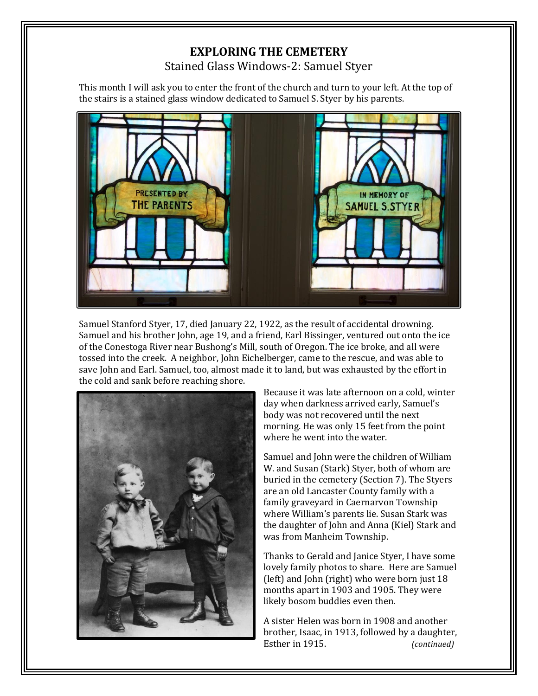## **EXPLORING THE CEMETERY** Stained Glass Windows-2: Samuel Styer

This month I will ask you to enter the front of the church and turn to your left. At the top of the stairs is a stained glass window dedicated to Samuel S. Styer by his parents.



Samuel Stanford Styer, 17, died January 22, 1922, as the result of accidental drowning. Samuel and his brother John, age 19, and a friend, Earl Bissinger, ventured out onto the ice of the Conestoga River near Bushong's Mill, south of Oregon. The ice broke, and all were tossed into the creek. A neighbor, John Eichelberger, came to the rescue, and was able to save John and Earl. Samuel, too, almost made it to land, but was exhausted by the effort in the cold and sank before reaching shore.



Because it was late afternoon on a cold, winter day when darkness arrived early, Samuel's body was not recovered until the next morning. He was only 15 feet from the point where he went into the water.

Samuel and John were the children of William W. and Susan (Stark) Styer, both of whom are buried in the cemetery (Section 7). The Styers are an old Lancaster County family with a family graveyard in Caernarvon Township where William's parents lie. Susan Stark was the daughter of John and Anna (Kiel) Stark and was from Manheim Township.

Thanks to Gerald and Janice Styer, I have some lovely family photos to share. Here are Samuel (left) and John (right) who were born just 18 months apart in 1903 and 1905. They were likely bosom buddies even then.

A sister Helen was born in 1908 and another brother, Isaac, in 1913, followed by a daughter, Esther in 1915. *(continued)*